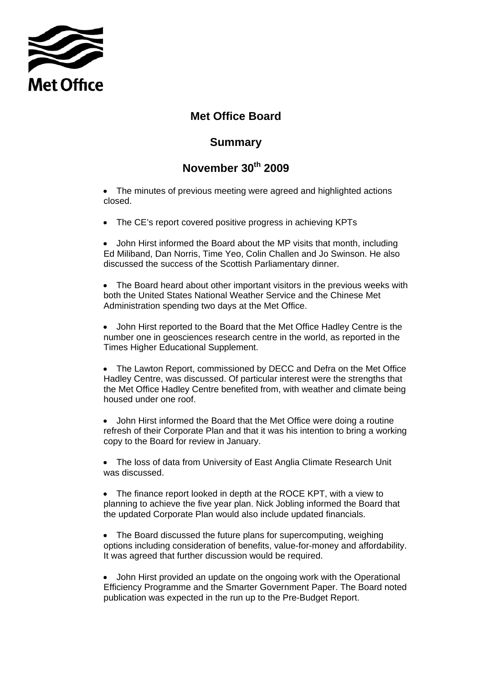

## **Met Office Board**

## **Summary**

## **November 30th 2009**

• The minutes of previous meeting were agreed and highlighted actions closed.

• The CE's report covered positive progress in achieving KPTs

• John Hirst informed the Board about the MP visits that month, including Ed Miliband, Dan Norris, Time Yeo, Colin Challen and Jo Swinson. He also discussed the success of the Scottish Parliamentary dinner.

• The Board heard about other important visitors in the previous weeks with both the United States National Weather Service and the Chinese Met Administration spending two days at the Met Office.

• John Hirst reported to the Board that the Met Office Hadley Centre is the number one in geosciences research centre in the world, as reported in the Times Higher Educational Supplement.

• The Lawton Report, commissioned by DECC and Defra on the Met Office Hadley Centre, was discussed. Of particular interest were the strengths that the Met Office Hadley Centre benefited from, with weather and climate being housed under one roof.

• John Hirst informed the Board that the Met Office were doing a routine refresh of their Corporate Plan and that it was his intention to bring a working copy to the Board for review in January.

• The loss of data from University of East Anglia Climate Research Unit was discussed.

• The finance report looked in depth at the ROCE KPT, with a view to planning to achieve the five year plan. Nick Jobling informed the Board that the updated Corporate Plan would also include updated financials.

• The Board discussed the future plans for supercomputing, weighing options including consideration of benefits, value-for-money and affordability. It was agreed that further discussion would be required.

• John Hirst provided an update on the ongoing work with the Operational Efficiency Programme and the Smarter Government Paper. The Board noted publication was expected in the run up to the Pre-Budget Report.